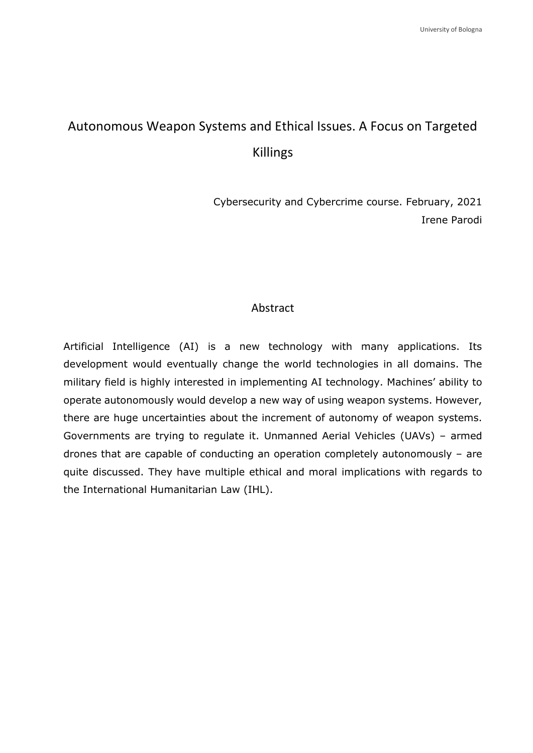# Autonomous Weapon Systems and Ethical Issues. A Focus on Targeted Killings

Cybersecurity and Cybercrime course. February, 2021 Irene Parodi

## Abstract

Artificial Intelligence (AI) is a new technology with many applications. Its development would eventually change the world technologies in all domains. The military field is highly interested in implementing AI technology. Machines' ability to operate autonomously would develop a new way of using weapon systems. However, there are huge uncertainties about the increment of autonomy of weapon systems. Governments are trying to regulate it. Unmanned Aerial Vehicles (UAVs) – armed drones that are capable of conducting an operation completely autonomously – are quite discussed. They have multiple ethical and moral implications with regards to the International Humanitarian Law (IHL).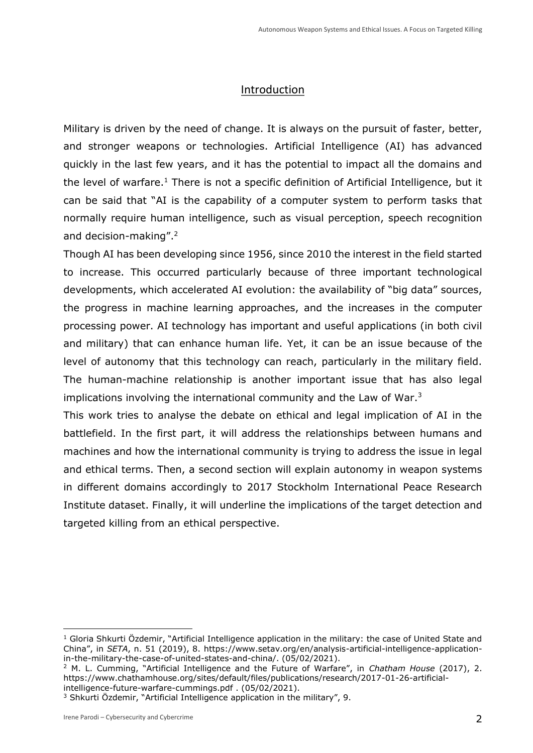# Introduction

Military is driven by the need of change. It is always on the pursuit of faster, better, and stronger weapons or technologies. Artificial Intelligence (AI) has advanced quickly in the last few years, and it has the potential to impact all the domains and the level of warfare.<sup>1</sup> There is not a specific definition of Artificial Intelligence, but it can be said that "AI is the capability of a computer system to perform tasks that normally require human intelligence, such as visual perception, speech recognition and decision-making".<sup>2</sup>

Though AI has been developing since 1956, since 2010 the interest in the field started to increase. This occurred particularly because of three important technological developments, which accelerated AI evolution: the availability of "big data" sources, the progress in machine learning approaches, and the increases in the computer processing power. AI technology has important and useful applications (in both civil and military) that can enhance human life. Yet, it can be an issue because of the level of autonomy that this technology can reach, particularly in the military field. The human-machine relationship is another important issue that has also legal implications involving the international community and the Law of War.<sup>3</sup>

This work tries to analyse the debate on ethical and legal implication of AI in the battlefield. In the first part, it will address the relationships between humans and machines and how the international community is trying to address the issue in legal and ethical terms. Then, a second section will explain autonomy in weapon systems in different domains accordingly to 2017 Stockholm International Peace Research Institute dataset. Finally, it will underline the implications of the target detection and targeted killing from an ethical perspective.

<sup>2</sup> M. L. Cumming, "Artificial Intelligence and the Future of Warfare", in *Chatham House* (2017), 2. https://www.chathamhouse.org/sites/default/files/publications/research/2017-01-26-artificialintelligence-future-warfare-cummings.pdf . (05/02/2021).

<sup>&</sup>lt;sup>1</sup> Gloria Shkurti Özdemir, "Artificial Intelligence application in the military: the case of United State and China", in *SETA*, n. 51 (2019), 8. [https://www.setav.org/en/analysis-artificial-intelligence-application](https://www.setav.org/en/analysis-artificial-intelligence-application-in-the-military-the-case-of-united-states-and-china/)[in-the-military-the-case-of-united-states-and-china/.](https://www.setav.org/en/analysis-artificial-intelligence-application-in-the-military-the-case-of-united-states-and-china/) (05/02/2021).

<sup>&</sup>lt;sup>3</sup> Shkurti Özdemir, "Artificial Intelligence application in the military", 9.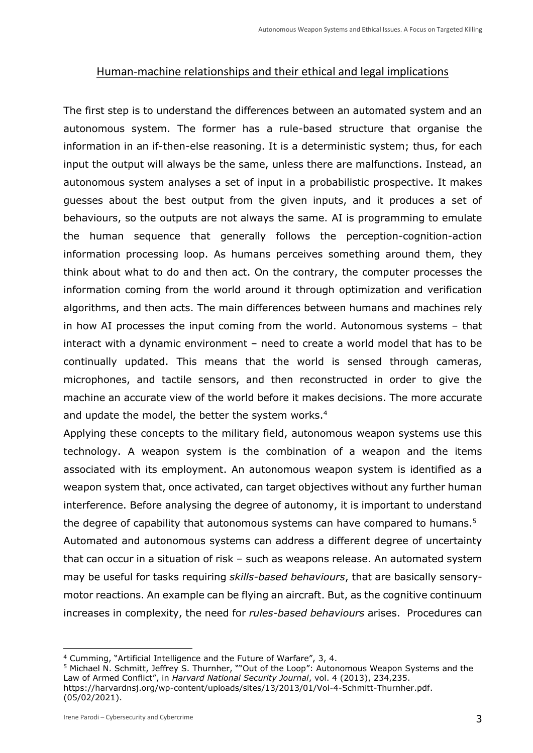## Human-machine relationships and their ethical and legal implications

The first step is to understand the differences between an automated system and an autonomous system. The former has a rule-based structure that organise the information in an if-then-else reasoning. It is a deterministic system; thus, for each input the output will always be the same, unless there are malfunctions. Instead, an autonomous system analyses a set of input in a probabilistic prospective. It makes guesses about the best output from the given inputs, and it produces a set of behaviours, so the outputs are not always the same. AI is programming to emulate the human sequence that generally follows the perception-cognition-action information processing loop. As humans perceives something around them, they think about what to do and then act. On the contrary, the computer processes the information coming from the world around it through optimization and verification algorithms, and then acts. The main differences between humans and machines rely in how AI processes the input coming from the world. Autonomous systems – that interact with a dynamic environment – need to create a world model that has to be continually updated. This means that the world is sensed through cameras, microphones, and tactile sensors, and then reconstructed in order to give the machine an accurate view of the world before it makes decisions. The more accurate and update the model, the better the system works.<sup>4</sup>

Applying these concepts to the military field, autonomous weapon systems use this technology. A weapon system is the combination of a weapon and the items associated with its employment. An autonomous weapon system is identified as a weapon system that, once activated, can target objectives without any further human interference. Before analysing the degree of autonomy, it is important to understand the degree of capability that autonomous systems can have compared to humans.<sup>5</sup> Automated and autonomous systems can address a different degree of uncertainty that can occur in a situation of risk – such as weapons release. An automated system may be useful for tasks requiring *skills-based behaviours*, that are basically sensorymotor reactions. An example can be flying an aircraft. But, as the cognitive continuum increases in complexity, the need for *rules-based behaviours* arises. Procedures can

<sup>4</sup> Cumming, "Artificial Intelligence and the Future of Warfare", 3, 4.

<sup>&</sup>lt;sup>5</sup> Michael N. Schmitt, Jeffrey S. Thurnher, ""Out of the Loop": Autonomous Weapon Systems and the Law of Armed Conflict", in *Harvard National Security Journal*, vol. 4 (2013), 234,235. [https://harvardnsj.org/wp-content/uploads/sites/13/2013/01/Vol-4-Schmitt-Thurnher.pdf.](https://harvardnsj.org/wp-content/uploads/sites/13/2013/01/Vol-4-Schmitt-Thurnher.pdf) (05/02/2021).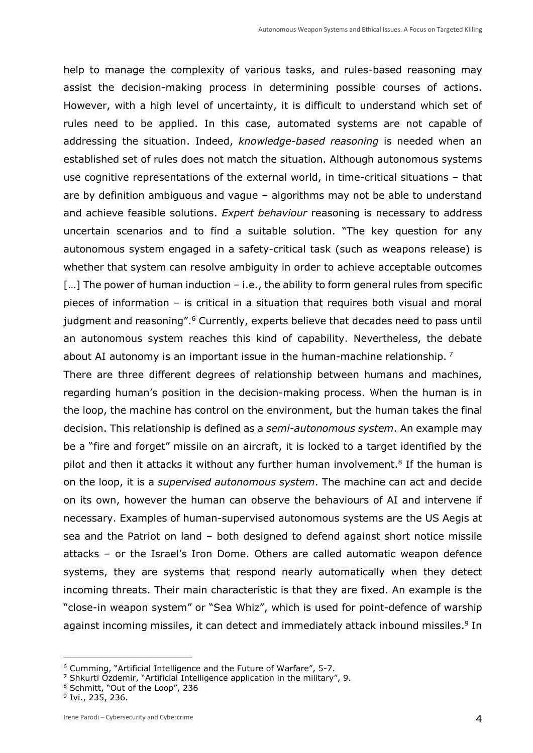help to manage the complexity of various tasks, and rules-based reasoning may assist the decision-making process in determining possible courses of actions. However, with a high level of uncertainty, it is difficult to understand which set of rules need to be applied. In this case, automated systems are not capable of addressing the situation. Indeed, *knowledge-based reasoning* is needed when an established set of rules does not match the situation. Although autonomous systems use cognitive representations of the external world, in time-critical situations – that are by definition ambiguous and vague – algorithms may not be able to understand and achieve feasible solutions. *Expert behaviour* reasoning is necessary to address uncertain scenarios and to find a suitable solution. "The key question for any autonomous system engaged in a safety-critical task (such as weapons release) is whether that system can resolve ambiguity in order to achieve acceptable outcomes  $[...]$  The power of human induction – i.e., the ability to form general rules from specific pieces of information – is critical in a situation that requires both visual and moral judgment and reasoning".<sup>6</sup> Currently, experts believe that decades need to pass until an autonomous system reaches this kind of capability. Nevertheless, the debate about AI autonomy is an important issue in the human-machine relationship.<sup>7</sup>

There are three different degrees of relationship between humans and machines, regarding human's position in the decision-making process. When the human is in the loop, the machine has control on the environment, but the human takes the final decision. This relationship is defined as a *semi-autonomous system*. An example may be a "fire and forget" missile on an aircraft, it is locked to a target identified by the pilot and then it attacks it without any further human involvement.<sup>8</sup> If the human is on the loop, it is a *supervised autonomous system*. The machine can act and decide on its own, however the human can observe the behaviours of AI and intervene if necessary. Examples of human-supervised autonomous systems are the US Aegis at sea and the Patriot on land – both designed to defend against short notice missile attacks – or the Israel's Iron Dome. Others are called automatic weapon defence systems, they are systems that respond nearly automatically when they detect incoming threats. Their main characteristic is that they are fixed. An example is the "close-in weapon system" or "Sea Whiz", which is used for point-defence of warship against incoming missiles, it can detect and immediately attack inbound missiles.<sup>9</sup> In

<sup>6</sup> Cumming, "Artificial Intelligence and the Future of Warfare", 5-7.

<sup>7</sup> Shkurti Özdemir, "Artificial Intelligence application in the military", 9.

<sup>8</sup> Schmitt, "Out of the Loop", 236

<sup>&</sup>lt;sup>9</sup> Ivi., 235, 236.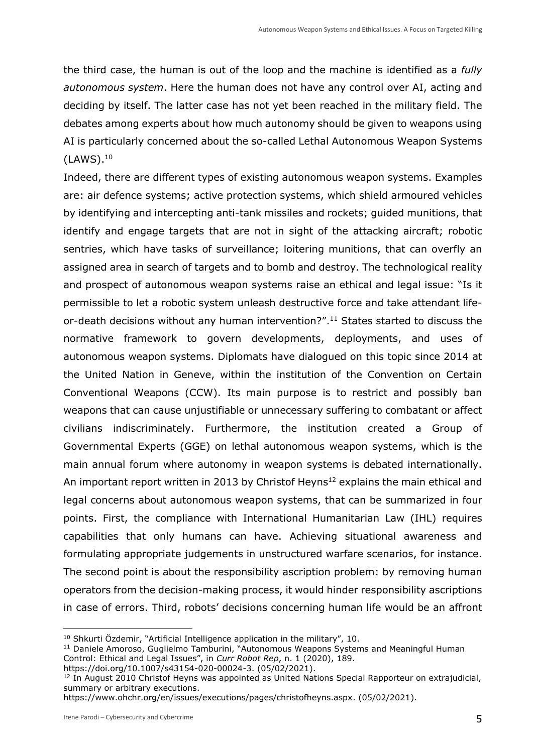the third case, the human is out of the loop and the machine is identified as a *fully autonomous system*. Here the human does not have any control over AI, acting and deciding by itself. The latter case has not yet been reached in the military field. The debates among experts about how much autonomy should be given to weapons using AI is particularly concerned about the so-called Lethal Autonomous Weapon Systems (LAWS).<sup>10</sup>

Indeed, there are different types of existing autonomous weapon systems. Examples are: air defence systems; active protection systems, which shield armoured vehicles by identifying and intercepting anti-tank missiles and rockets; guided munitions, that identify and engage targets that are not in sight of the attacking aircraft; robotic sentries, which have tasks of surveillance; loitering munitions, that can overfly an assigned area in search of targets and to bomb and destroy. The technological reality and prospect of autonomous weapon systems raise an ethical and legal issue: "Is it permissible to let a robotic system unleash destructive force and take attendant lifeor-death decisions without any human intervention?". <sup>11</sup> States started to discuss the normative framework to govern developments, deployments, and uses of autonomous weapon systems. Diplomats have dialogued on this topic since 2014 at the United Nation in Geneve, within the institution of the Convention on Certain Conventional Weapons (CCW). Its main purpose is to restrict and possibly ban weapons that can cause unjustifiable or unnecessary suffering to combatant or affect civilians indiscriminately. Furthermore, the institution created a Group of Governmental Experts (GGE) on lethal autonomous weapon systems, which is the main annual forum where autonomy in weapon systems is debated internationally. An important report written in 2013 by Christof Heyns<sup>12</sup> explains the main ethical and legal concerns about autonomous weapon systems, that can be summarized in four points. First, the compliance with International Humanitarian Law (IHL) requires capabilities that only humans can have. Achieving situational awareness and formulating appropriate judgements in unstructured warfare scenarios, for instance. The second point is about the responsibility ascription problem: by removing human operators from the decision-making process, it would hinder responsibility ascriptions in case of errors. Third, robots' decisions concerning human life would be an affront

<sup>10</sup> Shkurti Özdemir, "Artificial Intelligence application in the military", 10.

<sup>&</sup>lt;sup>11</sup> Daniele Amoroso, Guglielmo Tamburini, "Autonomous Weapons Systems and Meaningful Human Control: Ethical and Legal Issues", in *Curr Robot Rep*, n. 1 (2020), 189.

[https://doi.org/10.1007/s43154-020-00024-3.](https://doi.org/10.1007/s43154-020-00024-3) (05/02/2021).

<sup>&</sup>lt;sup>12</sup> In August 2010 Christof Heyns was appointed as United Nations Special Rapporteur on extrajudicial, summary or arbitrary executions.

[https://www.ohchr.org/en/issues/executions/pages/christofheyns.aspx.](https://www.ohchr.org/en/issues/executions/pages/christofheyns.aspx) (05/02/2021).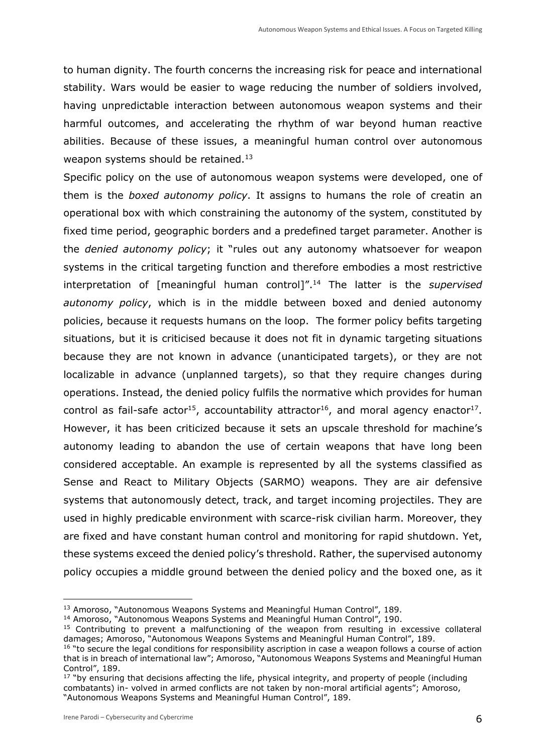to human dignity. The fourth concerns the increasing risk for peace and international stability. Wars would be easier to wage reducing the number of soldiers involved, having unpredictable interaction between autonomous weapon systems and their harmful outcomes, and accelerating the rhythm of war beyond human reactive abilities. Because of these issues, a meaningful human control over autonomous weapon systems should be retained.<sup>13</sup>

Specific policy on the use of autonomous weapon systems were developed, one of them is the *boxed autonomy policy*. It assigns to humans the role of creatin an operational box with which constraining the autonomy of the system, constituted by fixed time period, geographic borders and a predefined target parameter. Another is the *denied autonomy policy*; it "rules out any autonomy whatsoever for weapon systems in the critical targeting function and therefore embodies a most restrictive interpretation of [meaningful human control]". <sup>14</sup> The latter is the *supervised autonomy policy*, which is in the middle between boxed and denied autonomy policies, because it requests humans on the loop. The former policy befits targeting situations, but it is criticised because it does not fit in dynamic targeting situations because they are not known in advance (unanticipated targets), or they are not localizable in advance (unplanned targets), so that they require changes during operations. Instead, the denied policy fulfils the normative which provides for human control as fail-safe actor<sup>15</sup>, accountability attractor<sup>16</sup>, and moral agency enactor<sup>17</sup>. However, it has been criticized because it sets an upscale threshold for machine's autonomy leading to abandon the use of certain weapons that have long been considered acceptable. An example is represented by all the systems classified as Sense and React to Military Objects (SARMO) weapons. They are air defensive systems that autonomously detect, track, and target incoming projectiles. They are used in highly predicable environment with scarce-risk civilian harm. Moreover, they are fixed and have constant human control and monitoring for rapid shutdown. Yet, these systems exceed the denied policy's threshold. Rather, the supervised autonomy policy occupies a middle ground between the denied policy and the boxed one, as it

<sup>&</sup>lt;sup>13</sup> Amoroso, "Autonomous Weapons Systems and Meaningful Human Control", 189.

<sup>&</sup>lt;sup>14</sup> Amoroso, "Autonomous Weapons Systems and Meaningful Human Control", 190.

<sup>&</sup>lt;sup>15</sup> Contributing to prevent a malfunctioning of the weapon from resulting in excessive collateral damages; Amoroso, "Autonomous Weapons Systems and Meaningful Human Control", 189.

<sup>&</sup>lt;sup>16</sup> "to secure the legal conditions for responsibility ascription in case a weapon follows a course of action that is in breach of international law"; Amoroso, "Autonomous Weapons Systems and Meaningful Human Control", 189.

<sup>&</sup>lt;sup>17</sup> "by ensuring that decisions affecting the life, physical integrity, and property of people (including combatants) in- volved in armed conflicts are not taken by non-moral artificial agents"; Amoroso, "Autonomous Weapons Systems and Meaningful Human Control", 189.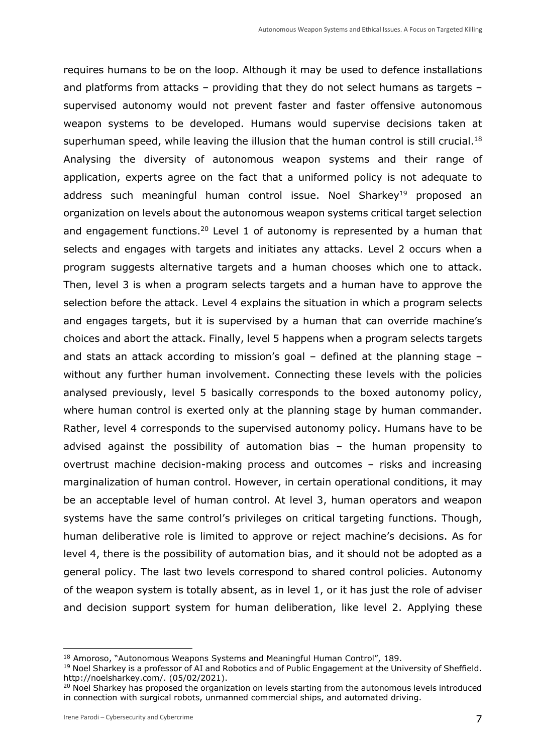requires humans to be on the loop. Although it may be used to defence installations and platforms from attacks – providing that they do not select humans as targets – supervised autonomy would not prevent faster and faster offensive autonomous weapon systems to be developed. Humans would supervise decisions taken at superhuman speed, while leaving the illusion that the human control is still crucial.<sup>18</sup> Analysing the diversity of autonomous weapon systems and their range of application, experts agree on the fact that a uniformed policy is not adequate to address such meaningful human control issue. Noel Sharkey<sup>19</sup> proposed an organization on levels about the autonomous weapon systems critical target selection and engagement functions.<sup>20</sup> Level 1 of autonomy is represented by a human that selects and engages with targets and initiates any attacks. Level 2 occurs when a program suggests alternative targets and a human chooses which one to attack. Then, level 3 is when a program selects targets and a human have to approve the selection before the attack. Level 4 explains the situation in which a program selects and engages targets, but it is supervised by a human that can override machine's choices and abort the attack. Finally, level 5 happens when a program selects targets and stats an attack according to mission's goal – defined at the planning stage – without any further human involvement. Connecting these levels with the policies analysed previously, level 5 basically corresponds to the boxed autonomy policy, where human control is exerted only at the planning stage by human commander. Rather, level 4 corresponds to the supervised autonomy policy. Humans have to be advised against the possibility of automation bias – the human propensity to overtrust machine decision-making process and outcomes – risks and increasing marginalization of human control. However, in certain operational conditions, it may be an acceptable level of human control. At level 3, human operators and weapon systems have the same control's privileges on critical targeting functions. Though, human deliberative role is limited to approve or reject machine's decisions. As for level 4, there is the possibility of automation bias, and it should not be adopted as a general policy. The last two levels correspond to shared control policies. Autonomy of the weapon system is totally absent, as in level 1, or it has just the role of adviser and decision support system for human deliberation, like level 2. Applying these

<sup>18</sup> Amoroso, "Autonomous Weapons Systems and Meaningful Human Control", 189.

<sup>&</sup>lt;sup>19</sup> Noel Sharkey is a professor of AI and Robotics and of Public Engagement at the University of Sheffield. [http://noelsharkey.com/.](http://noelsharkey.com/) (05/02/2021).

<sup>&</sup>lt;sup>20</sup> Noel Sharkey has proposed the organization on levels starting from the autonomous levels introduced in connection with surgical robots, unmanned commercial ships, and automated driving.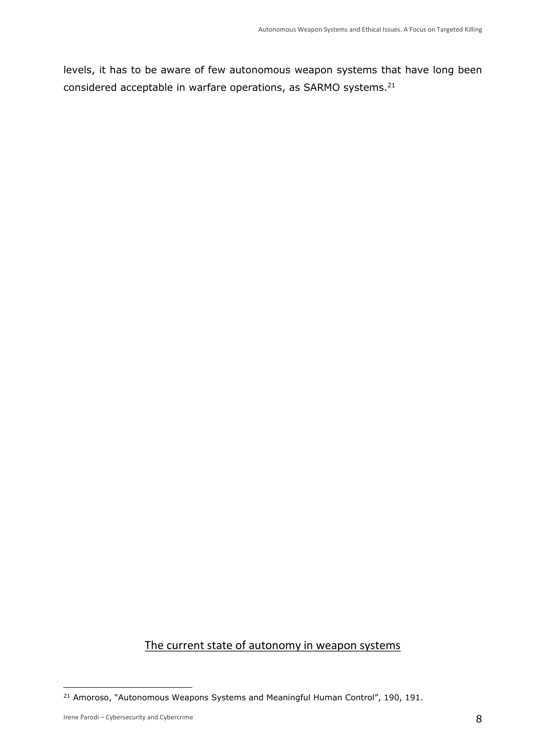levels, it has to be aware of few autonomous weapon systems that have long been considered acceptable in warfare operations, as SARMO systems.<sup>21</sup>

# The current state of autonomy in weapon systems

<sup>&</sup>lt;sup>21</sup> Amoroso, "Autonomous Weapons Systems and Meaningful Human Control", 190, 191.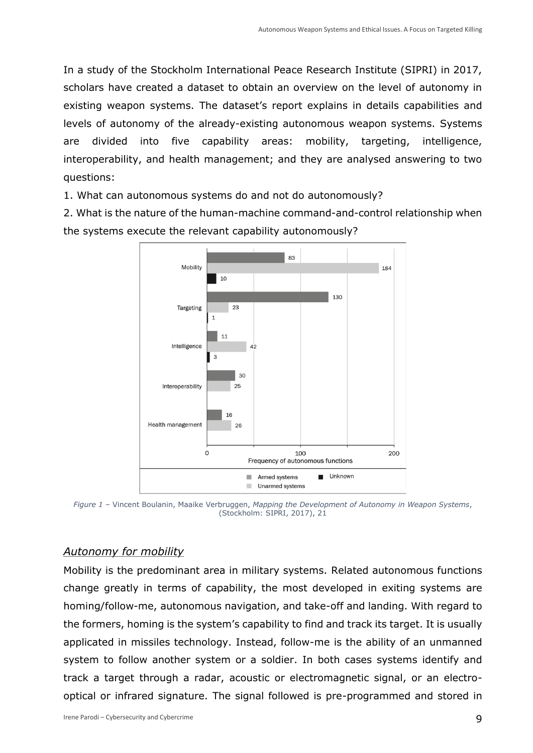In a study of the Stockholm International Peace Research Institute (SIPRI) in 2017, scholars have created a dataset to obtain an overview on the level of autonomy in existing weapon systems. The dataset's report explains in details capabilities and levels of autonomy of the already-existing autonomous weapon systems. Systems are divided into five capability areas: mobility, targeting, intelligence, interoperability, and health management; and they are analysed answering to two questions:

1. What can autonomous systems do and not do autonomously?

2. What is the nature of the human-machine command-and-control relationship when the systems execute the relevant capability autonomously?



*Figure 1 –* Vincent Boulanin, Maaike Verbruggen, *Mapping the Development of Autonomy in Weapon Systems*, (Stockholm: SIPRI, 2017), 21

### *Autonomy for mobility*

Mobility is the predominant area in military systems. Related autonomous functions change greatly in terms of capability, the most developed in exiting systems are homing/follow-me, autonomous navigation, and take-off and landing. With regard to the formers, homing is the system's capability to find and track its target. It is usually applicated in missiles technology. Instead, follow-me is the ability of an unmanned system to follow another system or a soldier. In both cases systems identify and track a target through a radar, acoustic or electromagnetic signal, or an electrooptical or infrared signature. The signal followed is pre-programmed and stored in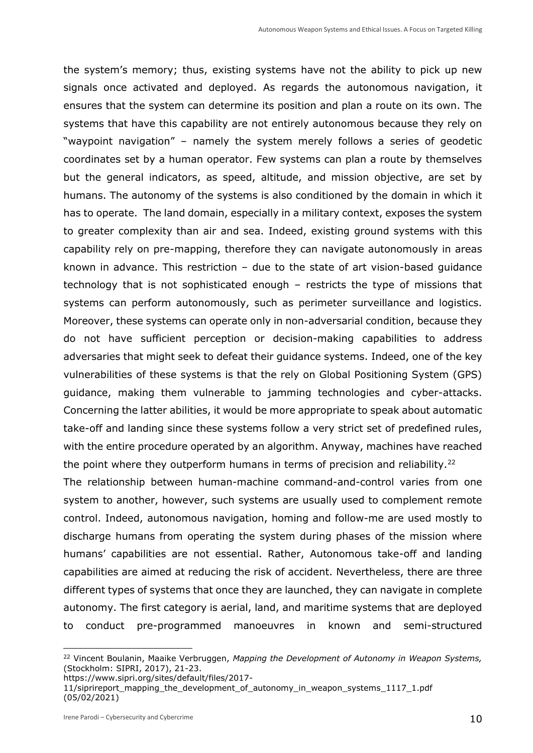the system's memory; thus, existing systems have not the ability to pick up new signals once activated and deployed. As regards the autonomous navigation, it ensures that the system can determine its position and plan a route on its own. The systems that have this capability are not entirely autonomous because they rely on "waypoint navigation" – namely the system merely follows a series of geodetic coordinates set by a human operator. Few systems can plan a route by themselves but the general indicators, as speed, altitude, and mission objective, are set by humans. The autonomy of the systems is also conditioned by the domain in which it has to operate. The land domain, especially in a military context, exposes the system to greater complexity than air and sea. Indeed, existing ground systems with this capability rely on pre-mapping, therefore they can navigate autonomously in areas known in advance. This restriction – due to the state of art vision-based guidance technology that is not sophisticated enough – restricts the type of missions that systems can perform autonomously, such as perimeter surveillance and logistics. Moreover, these systems can operate only in non-adversarial condition, because they do not have sufficient perception or decision-making capabilities to address adversaries that might seek to defeat their guidance systems. Indeed, one of the key vulnerabilities of these systems is that the rely on Global Positioning System (GPS) guidance, making them vulnerable to jamming technologies and cyber-attacks. Concerning the latter abilities, it would be more appropriate to speak about automatic take-off and landing since these systems follow a very strict set of predefined rules, with the entire procedure operated by an algorithm. Anyway, machines have reached the point where they outperform humans in terms of precision and reliability.<sup>22</sup>

The relationship between human-machine command-and-control varies from one system to another, however, such systems are usually used to complement remote control. Indeed, autonomous navigation, homing and follow-me are used mostly to discharge humans from operating the system during phases of the mission where humans' capabilities are not essential. Rather, Autonomous take-off and landing capabilities are aimed at reducing the risk of accident. Nevertheless, there are three different types of systems that once they are launched, they can navigate in complete autonomy. The first category is aerial, land, and maritime systems that are deployed to conduct pre-programmed manoeuvres in known and semi-structured

<sup>22</sup> Vincent Boulanin, Maaike Verbruggen, *Mapping the Development of Autonomy in Weapon Systems,* (Stockholm: SIPRI, 2017), 21-23.

[https://www.sipri.org/sites/default/files/2017-](https://www.sipri.org/sites/default/files/2017-11/siprireport_mapping_the_development_of_autonomy_in_weapon_systems_1117_1.pdf)

<sup>11/</sup>siprireport mapping the development of autonomy in weapon systems 1117 1.pdf (05/02/2021)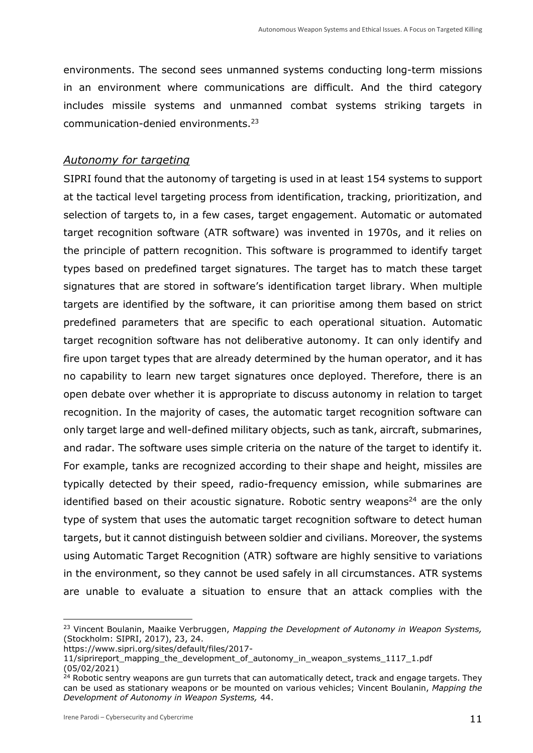environments. The second sees unmanned systems conducting long-term missions in an environment where communications are difficult. And the third category includes missile systems and unmanned combat systems striking targets in communication-denied environments.<sup>23</sup>

#### *Autonomy for targeting*

SIPRI found that the autonomy of targeting is used in at least 154 systems to support at the tactical level targeting process from identification, tracking, prioritization, and selection of targets to, in a few cases, target engagement. Automatic or automated target recognition software (ATR software) was invented in 1970s, and it relies on the principle of pattern recognition. This software is programmed to identify target types based on predefined target signatures. The target has to match these target signatures that are stored in software's identification target library. When multiple targets are identified by the software, it can prioritise among them based on strict predefined parameters that are specific to each operational situation. Automatic target recognition software has not deliberative autonomy. It can only identify and fire upon target types that are already determined by the human operator, and it has no capability to learn new target signatures once deployed. Therefore, there is an open debate over whether it is appropriate to discuss autonomy in relation to target recognition. In the majority of cases, the automatic target recognition software can only target large and well-defined military objects, such as tank, aircraft, submarines, and radar. The software uses simple criteria on the nature of the target to identify it. For example, tanks are recognized according to their shape and height, missiles are typically detected by their speed, radio-frequency emission, while submarines are identified based on their acoustic signature. Robotic sentry weapons<sup>24</sup> are the only type of system that uses the automatic target recognition software to detect human targets, but it cannot distinguish between soldier and civilians. Moreover, the systems using Automatic Target Recognition (ATR) software are highly sensitive to variations in the environment, so they cannot be used safely in all circumstances. ATR systems are unable to evaluate a situation to ensure that an attack complies with the

<sup>23</sup> Vincent Boulanin, Maaike Verbruggen, *Mapping the Development of Autonomy in Weapon Systems,* (Stockholm: SIPRI, 2017), 23, 24.

[https://www.sipri.org/sites/default/files/2017-](https://www.sipri.org/sites/default/files/2017-11/siprireport_mapping_the_development_of_autonomy_in_weapon_systems_1117_1.pdf)

[<sup>11/</sup>siprireport\\_mapping\\_the\\_development\\_of\\_autonomy\\_in\\_weapon\\_systems\\_1117\\_1.pdf](https://www.sipri.org/sites/default/files/2017-11/siprireport_mapping_the_development_of_autonomy_in_weapon_systems_1117_1.pdf) (05/02/2021)

 $24$  Robotic sentry weapons are gun turrets that can automatically detect, track and engage targets. They can be used as stationary weapons or be mounted on various vehicles; Vincent Boulanin, *Mapping the Development of Autonomy in Weapon Systems,* 44.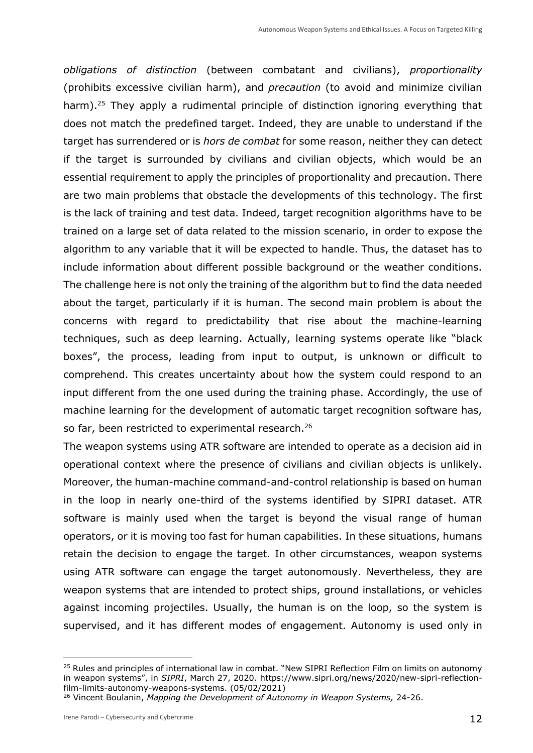*obligations of distinction* (between combatant and civilians), *proportionality* (prohibits excessive civilian harm), and *precaution* (to avoid and minimize civilian harm).<sup>25</sup> They apply a rudimental principle of distinction ignoring everything that does not match the predefined target. Indeed, they are unable to understand if the target has surrendered or is *hors de combat* for some reason, neither they can detect if the target is surrounded by civilians and civilian objects, which would be an essential requirement to apply the principles of proportionality and precaution. There are two main problems that obstacle the developments of this technology. The first is the lack of training and test data. Indeed, target recognition algorithms have to be trained on a large set of data related to the mission scenario, in order to expose the algorithm to any variable that it will be expected to handle. Thus, the dataset has to include information about different possible background or the weather conditions. The challenge here is not only the training of the algorithm but to find the data needed about the target, particularly if it is human. The second main problem is about the concerns with regard to predictability that rise about the machine-learning techniques, such as deep learning. Actually, learning systems operate like "black boxes", the process, leading from input to output, is unknown or difficult to comprehend. This creates uncertainty about how the system could respond to an input different from the one used during the training phase. Accordingly, the use of machine learning for the development of automatic target recognition software has, so far, been restricted to experimental research.<sup>26</sup>

The weapon systems using ATR software are intended to operate as a decision aid in operational context where the presence of civilians and civilian objects is unlikely. Moreover, the human-machine command-and-control relationship is based on human in the loop in nearly one-third of the systems identified by SIPRI dataset. ATR software is mainly used when the target is beyond the visual range of human operators, or it is moving too fast for human capabilities. In these situations, humans retain the decision to engage the target. In other circumstances, weapon systems using ATR software can engage the target autonomously. Nevertheless, they are weapon systems that are intended to protect ships, ground installations, or vehicles against incoming projectiles. Usually, the human is on the loop, so the system is supervised, and it has different modes of engagement. Autonomy is used only in

<sup>&</sup>lt;sup>25</sup> Rules and principles of international law in combat. "New SIPRI Reflection Film on limits on autonomy in weapon systems", in *SIPRI*, March 27, 2020. [https://www.sipri.org/news/2020/new-sipri-reflection](https://www.sipri.org/news/2020/new-sipri-reflection-film-limits-autonomy-weapons-systems)[film-limits-autonomy-weapons-systems.](https://www.sipri.org/news/2020/new-sipri-reflection-film-limits-autonomy-weapons-systems) (05/02/2021)

<sup>26</sup> Vincent Boulanin, *Mapping the Development of Autonomy in Weapon Systems,* 24-26.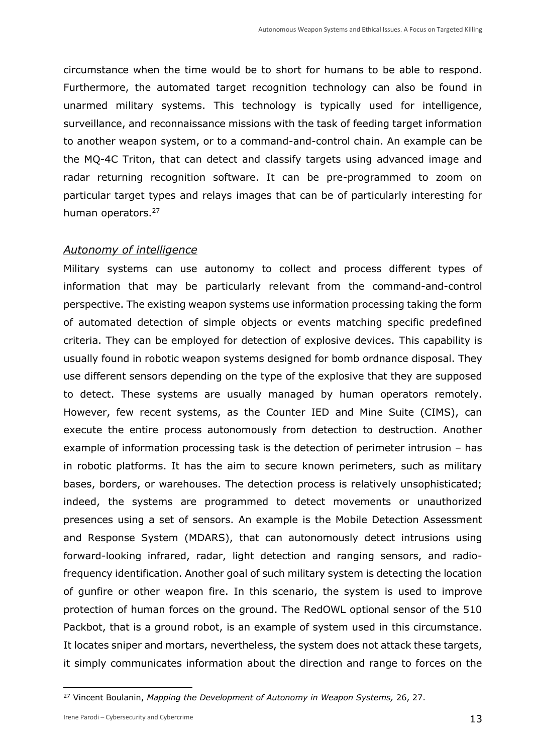circumstance when the time would be to short for humans to be able to respond. Furthermore, the automated target recognition technology can also be found in unarmed military systems. This technology is typically used for intelligence, surveillance, and reconnaissance missions with the task of feeding target information to another weapon system, or to a command-and-control chain. An example can be the MQ-4C Triton, that can detect and classify targets using advanced image and radar returning recognition software. It can be pre-programmed to zoom on particular target types and relays images that can be of particularly interesting for human operators.<sup>27</sup>

#### *Autonomy of intelligence*

Military systems can use autonomy to collect and process different types of information that may be particularly relevant from the command-and-control perspective. The existing weapon systems use information processing taking the form of automated detection of simple objects or events matching specific predefined criteria. They can be employed for detection of explosive devices. This capability is usually found in robotic weapon systems designed for bomb ordnance disposal. They use different sensors depending on the type of the explosive that they are supposed to detect. These systems are usually managed by human operators remotely. However, few recent systems, as the Counter IED and Mine Suite (CIMS), can execute the entire process autonomously from detection to destruction. Another example of information processing task is the detection of perimeter intrusion – has in robotic platforms. It has the aim to secure known perimeters, such as military bases, borders, or warehouses. The detection process is relatively unsophisticated; indeed, the systems are programmed to detect movements or unauthorized presences using a set of sensors. An example is the Mobile Detection Assessment and Response System (MDARS), that can autonomously detect intrusions using forward-looking infrared, radar, light detection and ranging sensors, and radiofrequency identification. Another goal of such military system is detecting the location of gunfire or other weapon fire. In this scenario, the system is used to improve protection of human forces on the ground. The RedOWL optional sensor of the 510 Packbot, that is a ground robot, is an example of system used in this circumstance. It locates sniper and mortars, nevertheless, the system does not attack these targets, it simply communicates information about the direction and range to forces on the

<sup>27</sup> Vincent Boulanin, *Mapping the Development of Autonomy in Weapon Systems,* 26, 27.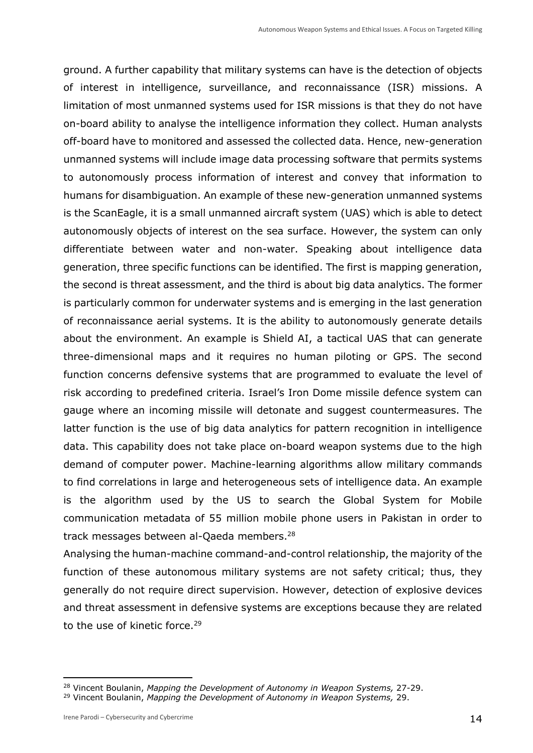ground. A further capability that military systems can have is the detection of objects of interest in intelligence, surveillance, and reconnaissance (ISR) missions. A limitation of most unmanned systems used for ISR missions is that they do not have on-board ability to analyse the intelligence information they collect. Human analysts off-board have to monitored and assessed the collected data. Hence, new-generation unmanned systems will include image data processing software that permits systems to autonomously process information of interest and convey that information to humans for disambiguation. An example of these new-generation unmanned systems is the ScanEagle, it is a small unmanned aircraft system (UAS) which is able to detect autonomously objects of interest on the sea surface. However, the system can only differentiate between water and non-water. Speaking about intelligence data generation, three specific functions can be identified. The first is mapping generation, the second is threat assessment, and the third is about big data analytics. The former is particularly common for underwater systems and is emerging in the last generation of reconnaissance aerial systems. It is the ability to autonomously generate details about the environment. An example is Shield AI, a tactical UAS that can generate three-dimensional maps and it requires no human piloting or GPS. The second function concerns defensive systems that are programmed to evaluate the level of risk according to predefined criteria. Israel's Iron Dome missile defence system can gauge where an incoming missile will detonate and suggest countermeasures. The latter function is the use of big data analytics for pattern recognition in intelligence data. This capability does not take place on-board weapon systems due to the high demand of computer power. Machine-learning algorithms allow military commands to find correlations in large and heterogeneous sets of intelligence data. An example is the algorithm used by the US to search the Global System for Mobile communication metadata of 55 million mobile phone users in Pakistan in order to track messages between al-Qaeda members.<sup>28</sup>

Analysing the human-machine command-and-control relationship, the majority of the function of these autonomous military systems are not safety critical; thus, they generally do not require direct supervision. However, detection of explosive devices and threat assessment in defensive systems are exceptions because they are related to the use of kinetic force.<sup>29</sup>

<sup>28</sup> Vincent Boulanin, *Mapping the Development of Autonomy in Weapon Systems,* 27-29.

<sup>29</sup> Vincent Boulanin, *Mapping the Development of Autonomy in Weapon Systems,* 29.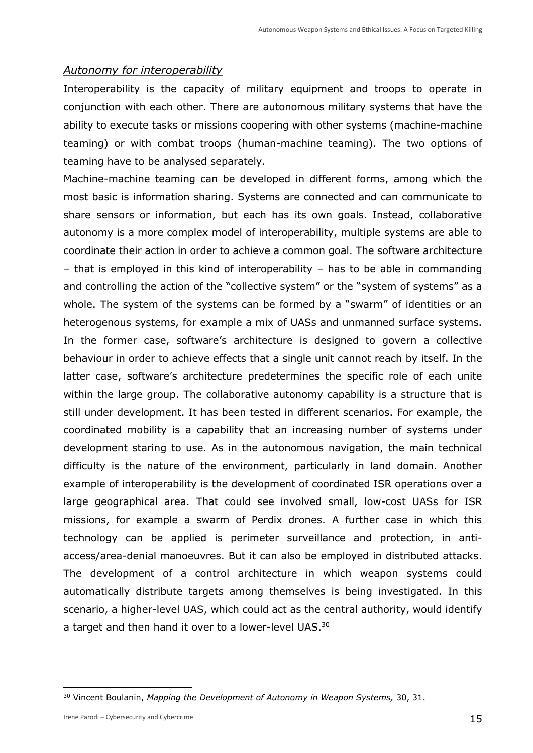#### *Autonomy for interoperability*

Interoperability is the capacity of military equipment and troops to operate in conjunction with each other. There are autonomous military systems that have the ability to execute tasks or missions coopering with other systems (machine-machine teaming) or with combat troops (human-machine teaming). The two options of teaming have to be analysed separately.

Machine-machine teaming can be developed in different forms, among which the most basic is information sharing. Systems are connected and can communicate to share sensors or information, but each has its own goals. Instead, collaborative autonomy is a more complex model of interoperability, multiple systems are able to coordinate their action in order to achieve a common goal. The software architecture – that is employed in this kind of interoperability – has to be able in commanding and controlling the action of the "collective system" or the "system of systems" as a whole. The system of the systems can be formed by a "swarm" of identities or an heterogenous systems, for example a mix of UASs and unmanned surface systems. In the former case, software's architecture is designed to govern a collective behaviour in order to achieve effects that a single unit cannot reach by itself. In the latter case, software's architecture predetermines the specific role of each unite within the large group. The collaborative autonomy capability is a structure that is still under development. It has been tested in different scenarios. For example, the coordinated mobility is a capability that an increasing number of systems under development staring to use. As in the autonomous navigation, the main technical difficulty is the nature of the environment, particularly in land domain. Another example of interoperability is the development of coordinated ISR operations over a large geographical area. That could see involved small, low-cost UASs for ISR missions, for example a swarm of Perdix drones. A further case in which this technology can be applied is perimeter surveillance and protection, in antiaccess/area-denial manoeuvres. But it can also be employed in distributed attacks. The development of a control architecture in which weapon systems could automatically distribute targets among themselves is being investigated. In this scenario, a higher-level UAS, which could act as the central authority, would identify a target and then hand it over to a lower-level UAS.<sup>30</sup>

<sup>30</sup> Vincent Boulanin, *Mapping the Development of Autonomy in Weapon Systems,* 30, 31.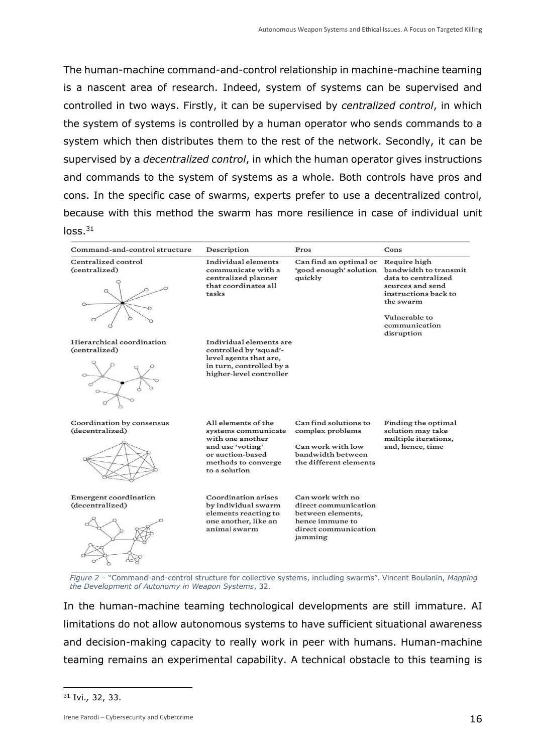The human-machine command-and-control relationship in machine-machine teaming is a nascent area of research. Indeed, system of systems can be supervised and controlled in two ways. Firstly, it can be supervised by *centralized control*, in which the system of systems is controlled by a human operator who sends commands to a system which then distributes them to the rest of the network. Secondly, it can be supervised by a *decentralized control*, in which the human operator gives instructions and commands to the system of systems as a whole. Both controls have pros and cons. In the specific case of swarms, experts prefer to use a decentralized control, because with this method the swarm has more resilience in case of individual unit  $loss.<sup>31</sup>$ 

| Command-and-control structure                   | Description                                                                                                                                    | Pros                                                                                                                | Cons                                                                                                                                                                  |
|-------------------------------------------------|------------------------------------------------------------------------------------------------------------------------------------------------|---------------------------------------------------------------------------------------------------------------------|-----------------------------------------------------------------------------------------------------------------------------------------------------------------------|
| Centralized control<br>(centralized)            | Individual elements<br>communicate with a<br>centralized planner<br>that coordinates all<br>tasks                                              | Can find an optimal or<br>'good enough' solution<br>quickly                                                         | Require high<br>bandwidth to transmit<br>data to centralized<br>sources and send<br>instructions back to<br>the swarm<br>Vulnerable to<br>communication<br>disruption |
| Hierarchical coordination<br>(centralized)      | Individual elements are<br>controlled by 'squad'-<br>level agents that are,<br>in turn, controlled by a<br>higher-level controller             |                                                                                                                     |                                                                                                                                                                       |
| Coordination by consensus<br>(decentralized)    | All elements of the<br>systems communicate<br>with one another<br>and use 'voting'<br>or auction-based<br>methods to converge<br>to a solution | Can find solutions to<br>complex problems<br>Can work with low<br>bandwidth between<br>the different elements       | Finding the optimal<br>solution may take<br>multiple iterations,<br>and, hence, time                                                                                  |
| <b>Emergent</b> coordination<br>(decentralized) | Coordination arises<br>by individual swarm<br>elements reacting to<br>one another, like an<br>animal swarm                                     | Can work with no<br>direct communication<br>between elements,<br>hence immune to<br>direct communication<br>jamming |                                                                                                                                                                       |

*Figure 2* – "Command-and-control structure for collective systems, including swarms". Vincent Boulanin, *Mapping the Development of Autonomy in Weapon Systems*, 32.

In the human-machine teaming technological developments are still immature. AI limitations do not allow autonomous systems to have sufficient situational awareness and decision-making capacity to really work in peer with humans. Human-machine teaming remains an experimental capability. A technical obstacle to this teaming is

<sup>31</sup> Ivi.*,* 32, 33.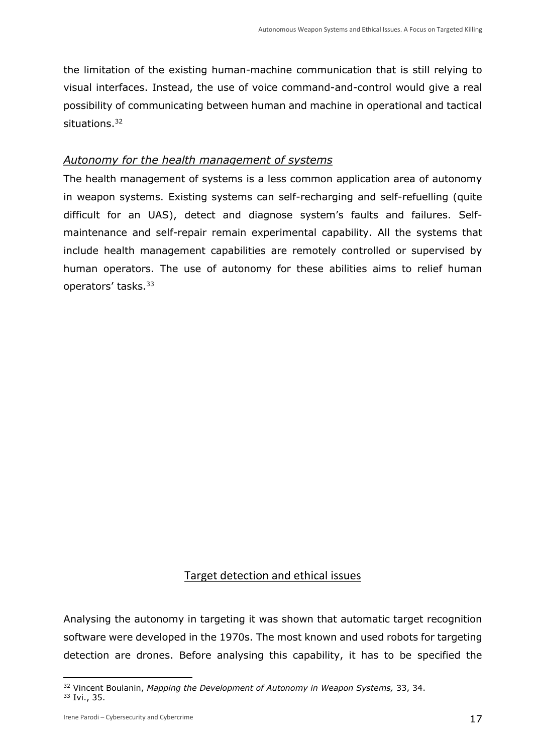the limitation of the existing human-machine communication that is still relying to visual interfaces. Instead, the use of voice command-and-control would give a real possibility of communicating between human and machine in operational and tactical situations.<sup>32</sup>

## *Autonomy for the health management of systems*

The health management of systems is a less common application area of autonomy in weapon systems. Existing systems can self-recharging and self-refuelling (quite difficult for an UAS), detect and diagnose system's faults and failures. Selfmaintenance and self-repair remain experimental capability. All the systems that include health management capabilities are remotely controlled or supervised by human operators. The use of autonomy for these abilities aims to relief human operators' tasks.<sup>33</sup>

# Target detection and ethical issues

Analysing the autonomy in targeting it was shown that automatic target recognition software were developed in the 1970s. The most known and used robots for targeting detection are drones. Before analysing this capability, it has to be specified the

<sup>32</sup> Vincent Boulanin, *Mapping the Development of Autonomy in Weapon Systems,* 33, 34. <sup>33</sup> Ivi., 35.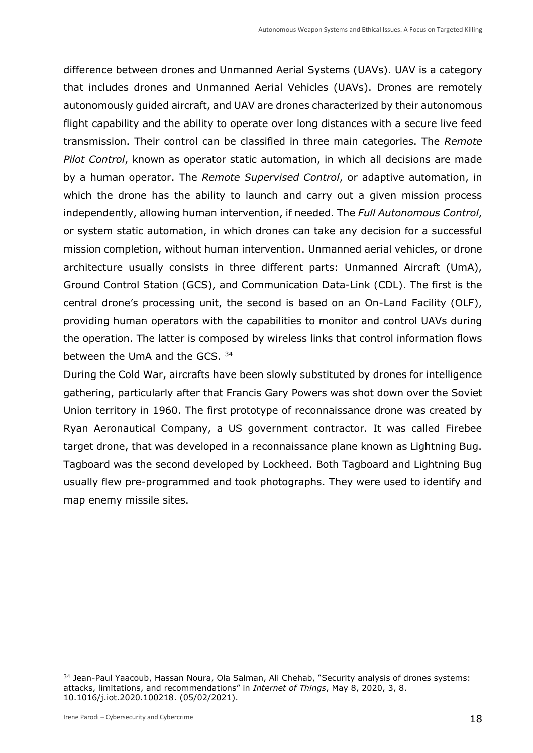difference between drones and Unmanned Aerial Systems (UAVs). UAV is a category that includes drones and Unmanned Aerial Vehicles (UAVs). Drones are remotely autonomously guided aircraft, and UAV are drones characterized by their autonomous flight capability and the ability to operate over long distances with a secure live feed transmission. Their control can be classified in three main categories. The *Remote Pilot Control*, known as operator static automation, in which all decisions are made by a human operator. The *Remote Supervised Control*, or adaptive automation, in which the drone has the ability to launch and carry out a given mission process independently, allowing human intervention, if needed. The *Full Autonomous Control*, or system static automation, in which drones can take any decision for a successful mission completion, without human intervention. Unmanned aerial vehicles, or drone architecture usually consists in three different parts: Unmanned Aircraft (UmA), Ground Control Station (GCS), and Communication Data-Link (CDL). The first is the central drone's processing unit, the second is based on an On-Land Facility (OLF), providing human operators with the capabilities to monitor and control UAVs during the operation. The latter is composed by wireless links that control information flows between the UmA and the GCS. <sup>34</sup>

During the Cold War, aircrafts have been slowly substituted by drones for intelligence gathering, particularly after that Francis Gary Powers was shot down over the Soviet Union territory in 1960. The first prototype of reconnaissance drone was created by Ryan Aeronautical Company, a US government contractor. It was called Firebee target drone, that was developed in a reconnaissance plane known as Lightning Bug. Tagboard was the second developed by Lockheed. Both Tagboard and Lightning Bug usually flew pre-programmed and took photographs. They were used to identify and map enemy missile sites.

<sup>&</sup>lt;sup>34</sup> Jean-Paul Yaacoub, Hassan Noura, Ola Salman, Ali Chehab, "Security analysis of drones systems: attacks, limitations, and recommendations" in *Internet of Things*, May 8, 2020, 3, 8. [10.1016/j.iot.2020.100218.](https://dx.doi.org/10.1016%2Fj.iot.2020.100218) (05/02/2021).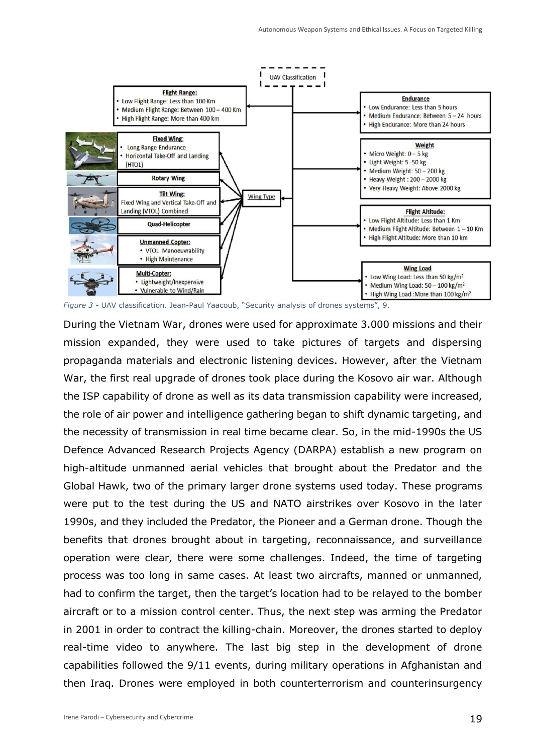

*Figure 3* - UAV classification. Jean-Paul Yaacoub, "Security analysis of drones systems", 9.

During the Vietnam War, drones were used for approximate 3.000 missions and their mission expanded, they were used to take pictures of targets and dispersing propaganda materials and electronic listening devices. However, after the Vietnam War, the first real upgrade of drones took place during the Kosovo air war. Although the ISP capability of drone as well as its data transmission capability were increased, the role of air power and intelligence gathering began to shift dynamic targeting, and the necessity of transmission in real time became clear. So, in the mid-1990s the US Defence Advanced Research Projects Agency (DARPA) establish a new program on high-altitude unmanned aerial vehicles that brought about the Predator and the Global Hawk, two of the primary larger drone systems used today. These programs were put to the test during the US and NATO airstrikes over Kosovo in the later 1990s, and they included the Predator, the Pioneer and a German drone. Though the benefits that drones brought about in targeting, reconnaissance, and surveillance operation were clear, there were some challenges. Indeed, the time of targeting process was too long in same cases. At least two aircrafts, manned or unmanned, had to confirm the target, then the target's location had to be relayed to the bomber aircraft or to a mission control center. Thus, the next step was arming the Predator in 2001 in order to contract the killing-chain. Moreover, the drones started to deploy real-time video to anywhere. The last big step in the development of drone capabilities followed the 9/11 events, during military operations in Afghanistan and then Iraq. Drones were employed in both counterterrorism and counterinsurgency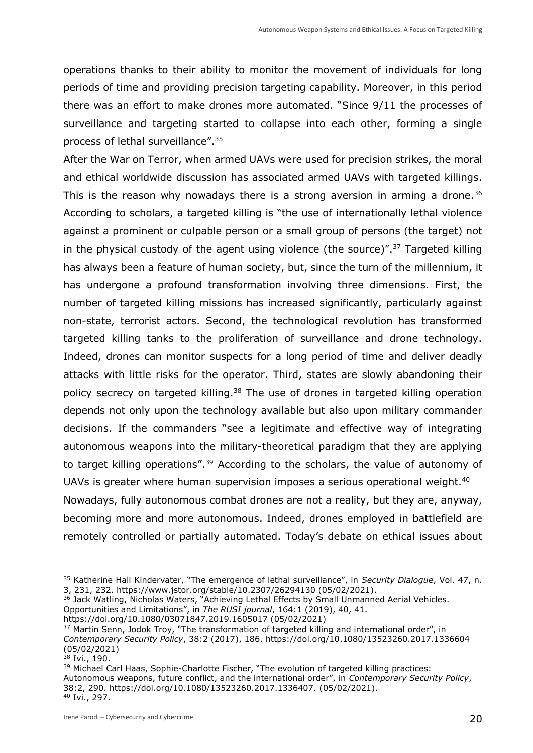operations thanks to their ability to monitor the movement of individuals for long periods of time and providing precision targeting capability. Moreover, in this period there was an effort to make drones more automated. "Since 9/11 the processes of surveillance and targeting started to collapse into each other, forming a single process of lethal surveillance".<sup>35</sup>

After the War on Terror, when armed UAVs were used for precision strikes, the moral and ethical worldwide discussion has associated armed UAVs with targeted killings. This is the reason why nowadays there is a strong aversion in arming a drone.<sup>36</sup> According to scholars, a targeted killing is "the use of internationally lethal violence against a prominent or culpable person or a small group of persons (the target) not in the physical custody of the agent using violence (the source)". $37$  Targeted killing has always been a feature of human society, but, since the turn of the millennium, it has undergone a profound transformation involving three dimensions. First, the number of targeted killing missions has increased significantly, particularly against non-state, terrorist actors. Second, the technological revolution has transformed targeted killing tanks to the proliferation of surveillance and drone technology. Indeed, drones can monitor suspects for a long period of time and deliver deadly attacks with little risks for the operator. Third, states are slowly abandoning their policy secrecy on targeted killing.<sup>38</sup> The use of drones in targeted killing operation depends not only upon the technology available but also upon military commander decisions. If the commanders "see a legitimate and effective way of integrating autonomous weapons into the military-theoretical paradigm that they are applying to target killing operations".<sup>39</sup> According to the scholars, the value of autonomy of UAVs is greater where human supervision imposes a serious operational weight.<sup>40</sup> Nowadays, fully autonomous combat drones are not a reality, but they are, anyway, becoming more and more autonomous. Indeed, drones employed in battlefield are remotely controlled or partially automated. Today's debate on ethical issues about

<sup>35</sup> Katherine Hall Kindervater, "The emergence of lethal surveillance", in *Security Dialogue*, Vol. 47, n. 3, 231, 232. https://www.jstor.org/stable/10.2307/26294130 (05/02/2021).

<sup>&</sup>lt;sup>36</sup> Jack Watling, Nicholas Waters, "Achieving Lethal Effects by Small Unmanned Aerial Vehicles.

Opportunities and Limitations", in *The RUSI journal*, 164:1 (2019), 40, 41.

https://doi.org/10.1080/03071847.2019.1605017 (05/02/2021)

<sup>&</sup>lt;sup>37</sup> Martin Senn, Jodok Troy, "The transformation of targeted killing and international order", in *Contemporary Security Policy*, 38:2 (2017), 186.<https://doi.org/10.1080/13523260.2017.1336604> (05/02/2021)

<sup>38</sup> Ivi., 190.

<sup>&</sup>lt;sup>39</sup> Michael Carl Haas, Sophie-Charlotte Fischer, "The evolution of targeted killing practices: Autonomous weapons, future conflict, and the international order", in *Contemporary Security Policy*, 38:2, 290. [https://doi.org/10.1080/13523260.2017.1336407.](https://doi.org/10.1080/13523260.2017.1336407) (05/02/2021). <sup>40</sup> Ivi., 297.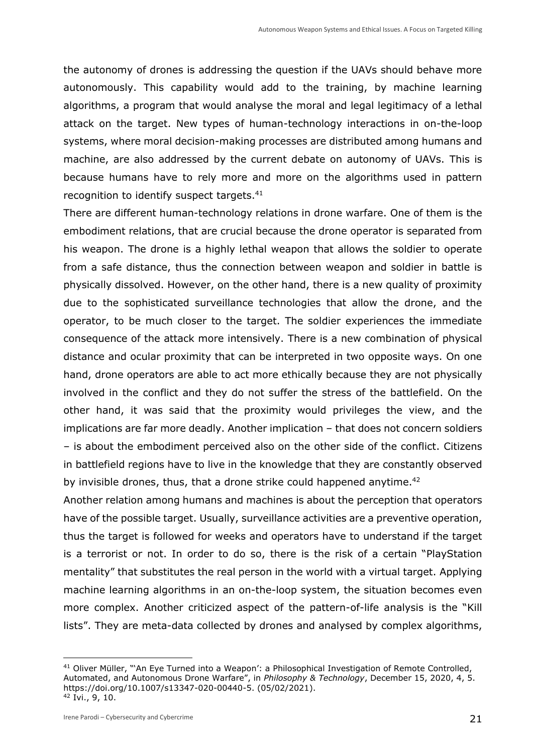the autonomy of drones is addressing the question if the UAVs should behave more autonomously. This capability would add to the training, by machine learning algorithms, a program that would analyse the moral and legal legitimacy of a lethal attack on the target. New types of human-technology interactions in on-the-loop systems, where moral decision-making processes are distributed among humans and machine, are also addressed by the current debate on autonomy of UAVs. This is because humans have to rely more and more on the algorithms used in pattern recognition to identify suspect targets.<sup>41</sup>

There are different human-technology relations in drone warfare. One of them is the embodiment relations, that are crucial because the drone operator is separated from his weapon. The drone is a highly lethal weapon that allows the soldier to operate from a safe distance, thus the connection between weapon and soldier in battle is physically dissolved. However, on the other hand, there is a new quality of proximity due to the sophisticated surveillance technologies that allow the drone, and the operator, to be much closer to the target. The soldier experiences the immediate consequence of the attack more intensively. There is a new combination of physical distance and ocular proximity that can be interpreted in two opposite ways. On one hand, drone operators are able to act more ethically because they are not physically involved in the conflict and they do not suffer the stress of the battlefield. On the other hand, it was said that the proximity would privileges the view, and the implications are far more deadly. Another implication – that does not concern soldiers – is about the embodiment perceived also on the other side of the conflict. Citizens in battlefield regions have to live in the knowledge that they are constantly observed by invisible drones, thus, that a drone strike could happened anytime.<sup>42</sup>

Another relation among humans and machines is about the perception that operators have of the possible target. Usually, surveillance activities are a preventive operation, thus the target is followed for weeks and operators have to understand if the target is a terrorist or not. In order to do so, there is the risk of a certain "PlayStation mentality" that substitutes the real person in the world with a virtual target. Applying machine learning algorithms in an on-the-loop system, the situation becomes even more complex. Another criticized aspect of the pattern-of-life analysis is the "Kill lists". They are meta-data collected by drones and analysed by complex algorithms,

<sup>41</sup> Oliver Müller, "'An Eye Turned into a Weapon': a Philosophical Investigation of Remote Controlled, Automated, and Autonomous Drone Warfare", in *Philosophy & Technology*, December 15, 2020, 4, 5. [https://doi.org/10.1007/s13347-020-00440-5.](https://doi.org/10.1007/s13347-020-00440-5) (05/02/2021). <sup>42</sup> Ivi., 9, 10.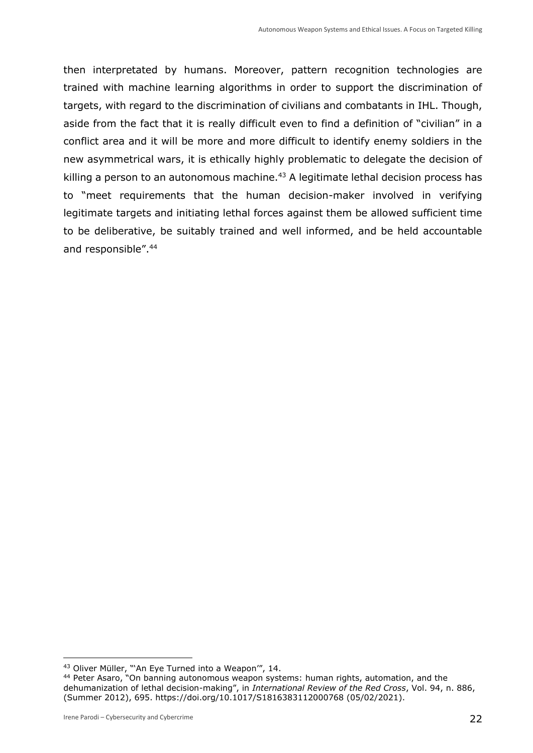then interpretated by humans. Moreover, pattern recognition technologies are trained with machine learning algorithms in order to support the discrimination of targets, with regard to the discrimination of civilians and combatants in IHL. Though, aside from the fact that it is really difficult even to find a definition of "civilian" in a conflict area and it will be more and more difficult to identify enemy soldiers in the new asymmetrical wars, it is ethically highly problematic to delegate the decision of killing a person to an autonomous machine.<sup>43</sup> A legitimate lethal decision process has to "meet requirements that the human decision-maker involved in verifying legitimate targets and initiating lethal forces against them be allowed sufficient time to be deliberative, be suitably trained and well informed, and be held accountable and responsible".<sup>44</sup>

<sup>43</sup> Oliver Müller, "'An Eye Turned into a Weapon'", 14.

<sup>44</sup> Peter Asaro, "On banning autonomous weapon systems: human rights, automation, and the dehumanization of lethal decision-making", in *International Review of the Red Cross*, Vol. 94, n. 886, (Summer 2012), 695. https://doi.org/10.1017/S1816383112000768 (05/02/2021).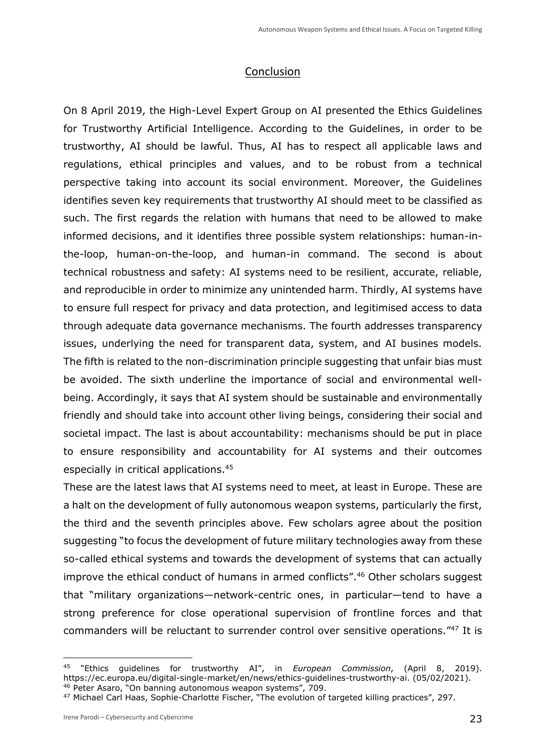## Conclusion

On 8 April 2019, the High-Level Expert Group on AI presented the Ethics Guidelines for Trustworthy Artificial Intelligence. According to the Guidelines, in order to be trustworthy, AI should be lawful. Thus, AI has to respect all applicable laws and regulations, ethical principles and values, and to be robust from a technical perspective taking into account its social environment. Moreover, the Guidelines identifies seven key requirements that trustworthy AI should meet to be classified as such. The first regards the relation with humans that need to be allowed to make informed decisions, and it identifies three possible system relationships: human-inthe-loop, human-on-the-loop, and human-in command. The second is about technical robustness and safety: AI systems need to be resilient, accurate, reliable, and reproducible in order to minimize any unintended harm. Thirdly, AI systems have to ensure full respect for privacy and data protection, and legitimised access to data through adequate data governance mechanisms. The fourth addresses transparency issues, underlying the need for transparent data, system, and AI busines models. The fifth is related to the non-discrimination principle suggesting that unfair bias must be avoided. The sixth underline the importance of social and environmental wellbeing. Accordingly, it says that AI system should be sustainable and environmentally friendly and should take into account other living beings, considering their social and societal impact. The last is about accountability: mechanisms should be put in place to ensure responsibility and accountability for AI systems and their outcomes especially in critical applications.<sup>45</sup>

These are the latest laws that AI systems need to meet, at least in Europe. These are a halt on the development of fully autonomous weapon systems, particularly the first, the third and the seventh principles above. Few scholars agree about the position suggesting "to focus the development of future military technologies away from these so-called ethical systems and towards the development of systems that can actually improve the ethical conduct of humans in armed conflicts".<sup>46</sup> Other scholars suggest that "military organizations—network-centric ones, in particular—tend to have a strong preference for close operational supervision of frontline forces and that commanders will be reluctant to surrender control over sensitive operations."<sup>47</sup> It is

<sup>45</sup> "Ethics guidelines for trustworthy AI", in *European Commission*, (April 8, 2019). [https://ec.europa.eu/digital-single-market/en/news/ethics-guidelines-trustworthy-ai.](https://ec.europa.eu/digital-single-market/en/news/ethics-guidelines-trustworthy-ai) (05/02/2021). <sup>46</sup> Peter Asaro, "On banning autonomous weapon systems", 709.

<sup>47</sup> Michael Carl Haas, Sophie-Charlotte Fischer, "The evolution of targeted killing practices", 297.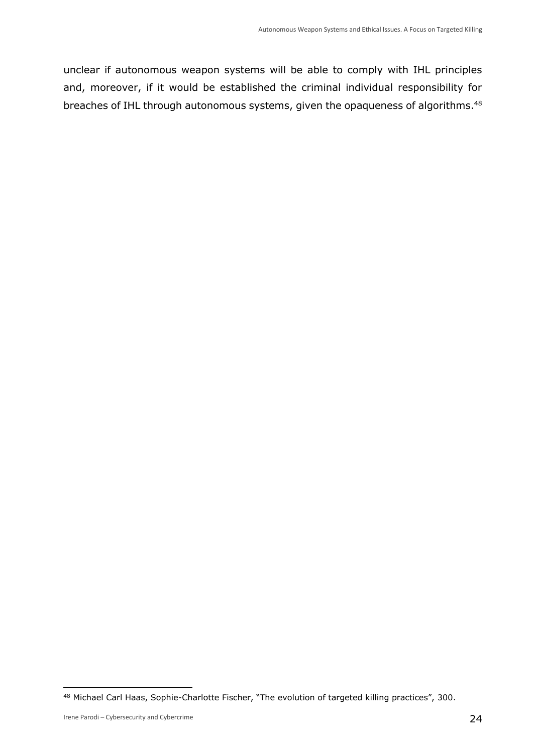unclear if autonomous weapon systems will be able to comply with IHL principles and, moreover, if it would be established the criminal individual responsibility for breaches of IHL through autonomous systems, given the opaqueness of algorithms.<sup>48</sup>

<sup>48</sup> Michael Carl Haas, Sophie-Charlotte Fischer, "The evolution of targeted killing practices", 300.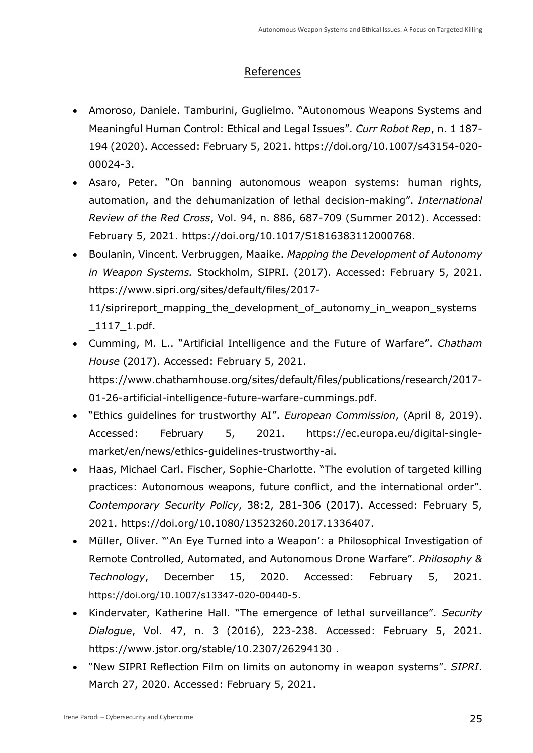# References

- Amoroso, Daniele. Tamburini, Guglielmo. "Autonomous Weapons Systems and Meaningful Human Control: Ethical and Legal Issues". *Curr Robot Rep*, n. 1 187- 194 (2020). Accessed: February 5, 2021. [https://doi.org/10.1007/s43154-020-](https://doi.org/10.1007/s43154-020-00024-3) [00024-3.](https://doi.org/10.1007/s43154-020-00024-3)
- Asaro, Peter. "On banning autonomous weapon systems: human rights, automation, and the dehumanization of lethal decision-making". *International Review of the Red Cross*, Vol. 94, n. 886, 687-709 (Summer 2012). Accessed: February 5, 2021. [https://doi.org/10.1017/S1816383112000768.](https://doi.org/10.1017/S1816383112000768)
- Boulanin, Vincent. Verbruggen, Maaike. *Mapping the Development of Autonomy in Weapon Systems.* Stockholm, SIPRI. (2017). Accessed: February 5, 2021. [https://www.sipri.org/sites/default/files/2017-](https://www.sipri.org/sites/default/files/2017-11/siprireport_mapping_the_development_of_autonomy_in_weapon_systems_1117_1.pdf) 11/siprireport mapping the development of autonomy in weapon systems [\\_1117\\_1.pdf.](https://www.sipri.org/sites/default/files/2017-11/siprireport_mapping_the_development_of_autonomy_in_weapon_systems_1117_1.pdf)
- Cumming, M. L.. "Artificial Intelligence and the Future of Warfare". *Chatham House* (2017). Accessed: February 5, 2021. [https://www.chathamhouse.org/sites/default/files/publications/research/2017-](https://www.chathamhouse.org/sites/default/files/publications/research/2017-01-26-artificial-intelligence-future-warfare-cummings.pdf) [01-26-artificial-intelligence-future-warfare-cummings.pdf.](https://www.chathamhouse.org/sites/default/files/publications/research/2017-01-26-artificial-intelligence-future-warfare-cummings.pdf)
- "Ethics guidelines for trustworthy AI". *European Commission*, (April 8, 2019). Accessed: February 5, 2021. [https://ec.europa.eu/digital-single](https://ec.europa.eu/digital-single-market/en/news/ethics-guidelines-trustworthy-ai)[market/en/news/ethics-guidelines-trustworthy-ai.](https://ec.europa.eu/digital-single-market/en/news/ethics-guidelines-trustworthy-ai)
- Haas, Michael Carl. Fischer, Sophie-Charlotte. "The evolution of targeted killing practices: Autonomous weapons, future conflict, and the international order". *Contemporary Security Policy*, 38:2, 281-306 (2017). Accessed: February 5, 2021. [https://doi.org/10.1080/13523260.2017.1336407.](https://doi.org/10.1080/13523260.2017.1336407)
- Müller, Oliver. "'An Eye Turned into a Weapon': a Philosophical Investigation of Remote Controlled, Automated, and Autonomous Drone Warfare". *Philosophy & Technology*, December 15, 2020. Accessed: February 5, 2021. <https://doi.org/10.1007/s13347-020-00440-5>.
- Kindervater, Katherine Hall. "The emergence of lethal surveillance". *Security Dialogue*, Vol. 47, n. 3 (2016), 223-238. Accessed: February 5, 2021. <https://www.jstor.org/stable/10.2307/26294130> .
- "New SIPRI Reflection Film on limits on autonomy in weapon systems". *SIPRI*. March 27, 2020. Accessed: February 5, 2021.